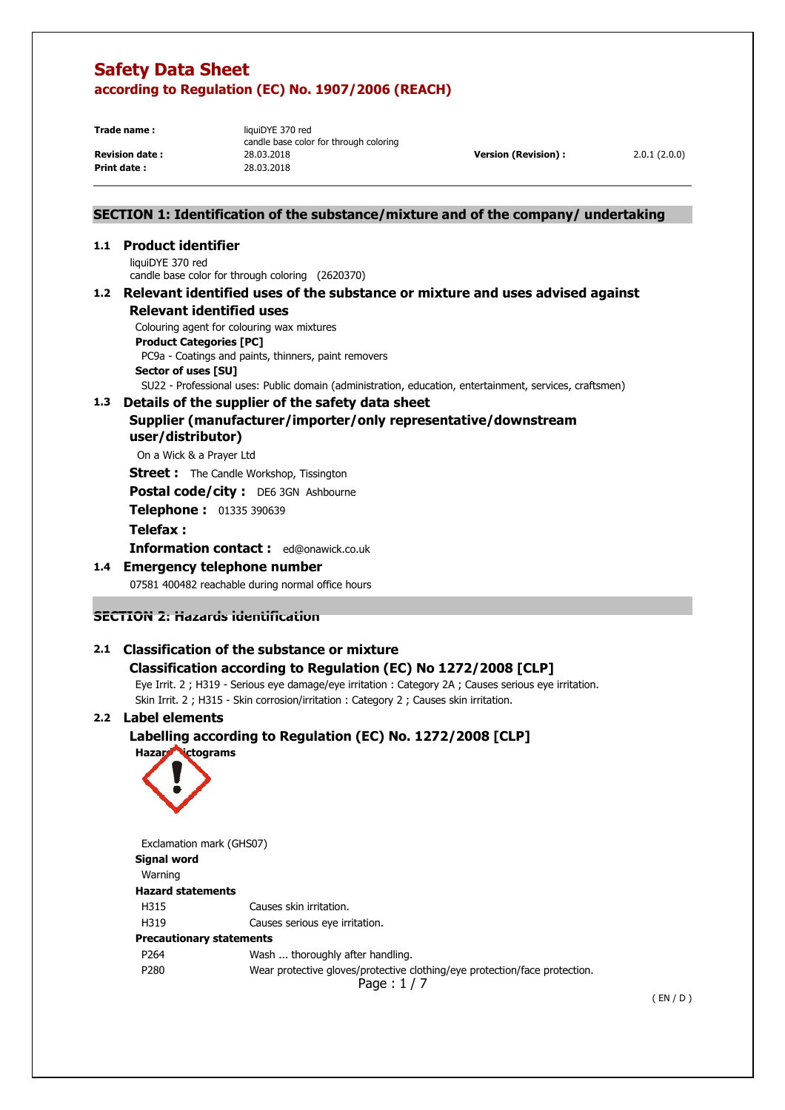**Print date :** 

**Trade name:** liquiDYE 370 red candle base color for through coloring **Revision date :** 28.03.2018 **Version (Revision) :** 2.0.1 (2.0.0)<br> **Print date :** 28.03.2018 **Print date :** 28.03.2018

## **SECTION 1: Identification of the substance/mixture and of the company/ undertaking**

#### **1.1 Product identifier**

liquiDYE 370 red candle base color for through coloring (2620370)

#### **1.2 Relevant identified uses of the substance or mixture and uses advised against Relevant identified uses**

 Colouring agent for colouring wax mixtures **Product Categories [PC]**  PC9a - Coatings and paints, thinners, paint removers **Sector of uses [SU]** 

SU22 - Professional uses: Public domain (administration, education, entertainment, services, craftsmen)

#### **1.3 Details of the supplier of the safety data sheet Supplier (manufacturer/importer/only representative/downstream user/distributor)**

On a Wick & a Prayer Ltd

**Street :** The Candle Workshop, Tissington

**Postal code/city :** DE6 3GN Ashbourne

**Telephone :** 01335 390639

#### **Telefax :**

**Information contact :** ed@onawick.co.uk

#### **1.4 Emergency telephone number**

07581 400482 reachable during normal office hours

## **SECTION 2: Hazards identification**

## **2.1 Classification of the substance or mixture**

## **Classification according to Regulation (EC) No 1272/2008 [CLP]**

Eye Irrit. 2 ; H319 - Serious eye damage/eye irritation : Category 2A ; Causes serious eye irritation.

Skin Irrit. 2 ; H315 - Skin corrosion/irritation : Category 2 ; Causes skin irritation.

## **2.2 Label elements**

## **Labelling according to Regulation (EC) No. 1272/2008 [CLP]**



 P280 Wear protective gloves/protective clothing/eye protection/face protection. Page : 1 / 7 Exclamation mark (GHS07) **Signal word**  Warning **Hazard statements**  H315 Causes skin irritation. H319 Causes serious eye irritation. **Precautionary statements**  P264 Wash ... thoroughly after handling.

( EN / D )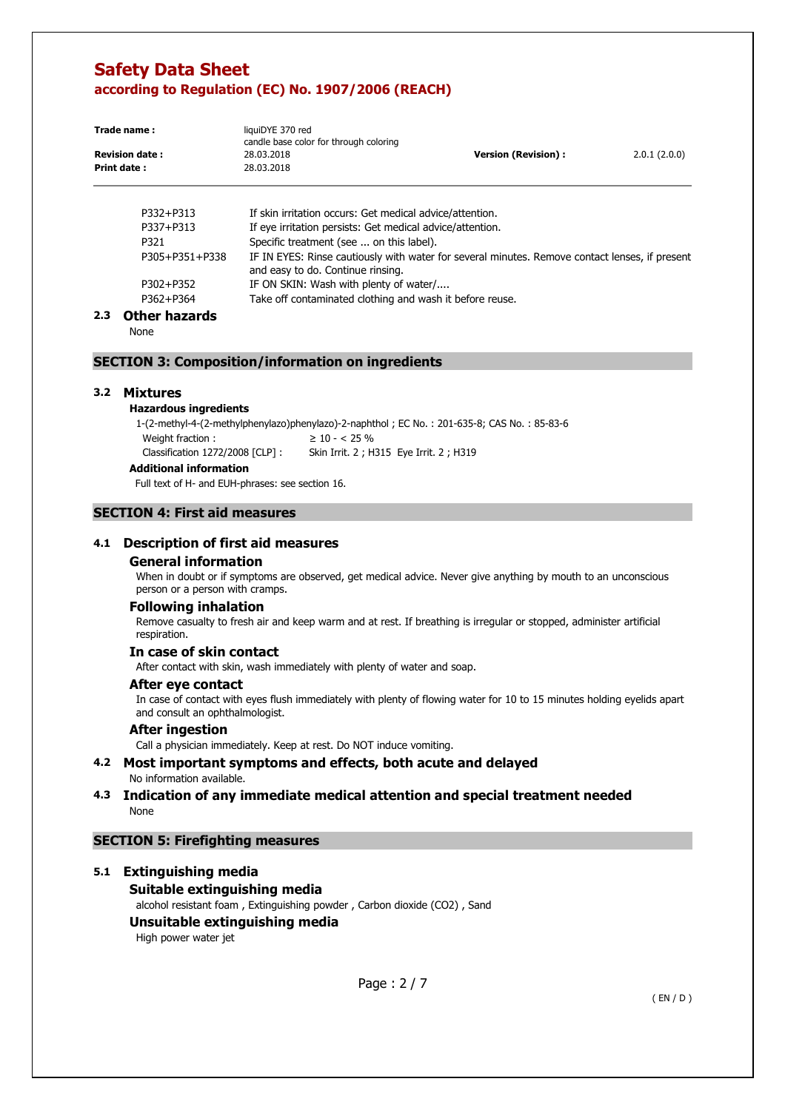| Trade name :          | liquiDYE 370 red<br>candle base color for through coloring |                      |              |
|-----------------------|------------------------------------------------------------|----------------------|--------------|
| <b>Revision date:</b> | 28.03.2018                                                 | Version (Revision) : | 2.0.1(2.0.0) |
| Print date:           | 28.03.2018                                                 |                      |              |

| P332+P313      | If skin irritation occurs: Get medical advice/attention.                                                                            |
|----------------|-------------------------------------------------------------------------------------------------------------------------------------|
| P337+P313      | If eye irritation persists: Get medical advice/attention.                                                                           |
| P321           | Specific treatment (see  on this label).                                                                                            |
| P305+P351+P338 | IF IN EYES: Rinse cautiously with water for several minutes. Remove contact lenses, if present<br>and easy to do. Continue rinsing. |
| P302+P352      | IF ON SKIN: Wash with plenty of water/                                                                                              |
| P362+P364      | Take off contaminated clothing and wash it before reuse.                                                                            |
|                |                                                                                                                                     |

#### **2.3 Other hazards**

None

#### **SECTION 3: Composition/information on ingredients**

#### **3.2 Mixtures**

#### **Hazardous ingredients**

1-(2-methyl-4-(2-methylphenylazo)phenylazo)-2-naphthol ; EC No. : 201-635-8; CAS No. : 85-83-6 Weight fraction :  $\geq 10 - 25\%$ Classification 1272/2008 [CLP] : Skin Irrit. 2 ; H315 Eye Irrit. 2 ; H319 **Additional information**

Full text of H- and EUH-phrases: see section 16.

### **SECTION 4: First aid measures**

#### **4.1 Description of first aid measures**

#### **General information**

When in doubt or if symptoms are observed, get medical advice. Never give anything by mouth to an unconscious person or a person with cramps.

#### **Following inhalation**

Remove casualty to fresh air and keep warm and at rest. If breathing is irregular or stopped, administer artificial respiration.

#### **In case of skin contact**

After contact with skin, wash immediately with plenty of water and soap.

#### **After eye contact**

In case of contact with eyes flush immediately with plenty of flowing water for 10 to 15 minutes holding eyelids apart and consult an ophthalmologist.

#### **After ingestion**

Call a physician immediately. Keep at rest. Do NOT induce vomiting.

#### **4.2 Most important symptoms and effects, both acute and delayed**  No information available.

### **4.3 Indication of any immediate medical attention and special treatment needed**  None

#### **SECTION 5: Firefighting measures**

#### **5.1 Extinguishing media**

#### **Suitable extinguishing media**

alcohol resistant foam , Extinguishing powder , Carbon dioxide (CO2) , Sand

## **Unsuitable extinguishing media**

High power water jet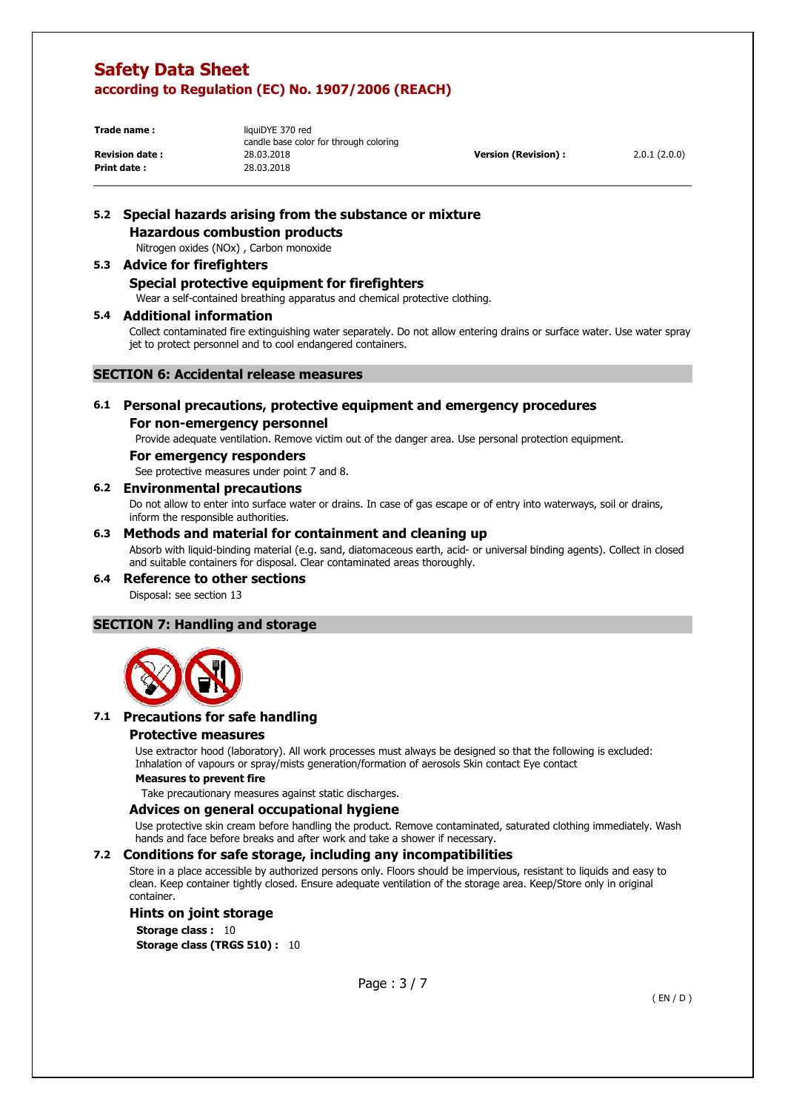**Print date:** 

**Trade name:** liquiDYE 370 red candle base color for through coloring **Revision date :** 28.03.2018 **Version (Revision) :** 2.0.1 (2.0.0)<br> **Print date :** 28.03.2018 **Print date :** 28.03.2018

# **5.2 Special hazards arising from the substance or mixture**

**Hazardous combustion products**  Nitrogen oxides (NOx) , Carbon monoxide

#### **5.3 Advice for firefighters Special protective equipment for firefighters**

Wear a self-contained breathing apparatus and chemical protective clothing.

#### **5.4 Additional information**

Collect contaminated fire extinguishing water separately. Do not allow entering drains or surface water. Use water spray jet to protect personnel and to cool endangered containers.

#### **SECTION 6: Accidental release measures**

### **6.1 Personal precautions, protective equipment and emergency procedures**

### **For non-emergency personnel**

Provide adequate ventilation. Remove victim out of the danger area. Use personal protection equipment.

#### **For emergency responders**

See protective measures under point 7 and 8.

#### **6.2 Environmental precautions**

Do not allow to enter into surface water or drains. In case of gas escape or of entry into waterways, soil or drains, inform the responsible authorities.

#### **6.3 Methods and material for containment and cleaning up**

Absorb with liquid-binding material (e.g. sand, diatomaceous earth, acid- or universal binding agents). Collect in closed and suitable containers for disposal. Clear contaminated areas thoroughly.

#### **6.4 Reference to other sections**

Disposal: see section 13

#### **SECTION 7: Handling and storage**



## **7.1 Precautions for safe handling**

#### **Protective measures**

Use extractor hood (laboratory). All work processes must always be designed so that the following is excluded: Inhalation of vapours or spray/mists generation/formation of aerosols Skin contact Eye contact

#### **Measures to prevent fire**

Take precautionary measures against static discharges.

#### **Advices on general occupational hygiene**

Use protective skin cream before handling the product. Remove contaminated, saturated clothing immediately. Wash hands and face before breaks and after work and take a shower if necessary.

#### **7.2 Conditions for safe storage, including any incompatibilities**

Store in a place accessible by authorized persons only. Floors should be impervious, resistant to liquids and easy to clean. Keep container tightly closed. Ensure adequate ventilation of the storage area. Keep/Store only in original container.

#### **Hints on joint storage**

**Storage class : 10 Storage class (TRGS 510) :** 10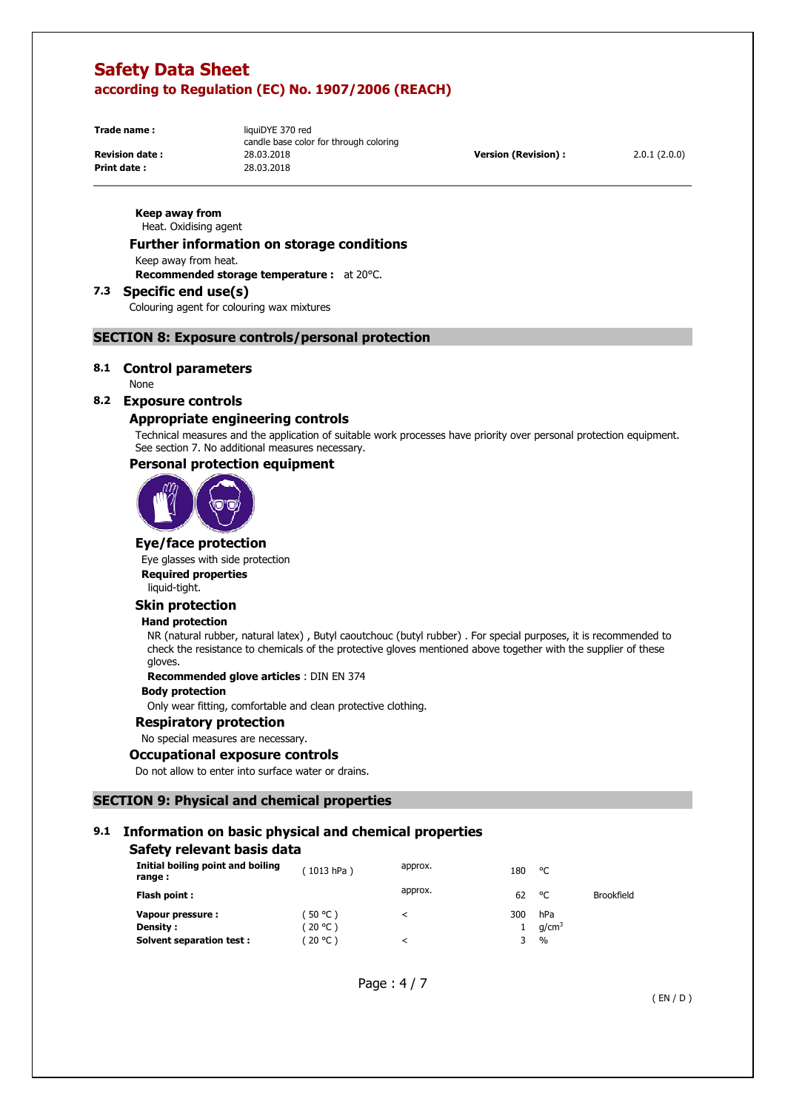**Print date:** 

**Trade name:** liquiDYE 370 red candle base color for through coloring **Revision date :** 28.03.2018 **Version (Revision) :** 2.0.1 (2.0.0)<br> **Print date :** 28.03.2018 **Print date :** 28.03.2018

**Keep away from**  Heat. Oxidising agent

#### **Further information on storage conditions**

Keep away from heat.

**Recommended storage temperature :** at 20°C.

#### **7.3 Specific end use(s)**

Colouring agent for colouring wax mixtures

#### **SECTION 8: Exposure controls/personal protection**

#### **8.1 Control parameters**

None

### **8.2 Exposure controls**

## **Appropriate engineering controls**

Technical measures and the application of suitable work processes have priority over personal protection equipment. See section 7. No additional measures necessary.

#### **Personal protection equipment**



#### **Eye/face protection**

Eye glasses with side protection **Required properties** 

liquid-tight.

## **Skin protection**

#### **Hand protection**

NR (natural rubber, natural latex) , Butyl caoutchouc (butyl rubber) . For special purposes, it is recommended to check the resistance to chemicals of the protective gloves mentioned above together with the supplier of these gloves.

**Recommended glove articles** : DIN EN 374

#### **Body protection**

Only wear fitting, comfortable and clean protective clothing.

#### **Respiratory protection**

No special measures are necessary.

#### **Occupational exposure controls**

Do not allow to enter into surface water or drains.

#### **SECTION 9: Physical and chemical properties**

## **9.1 Information on basic physical and chemical properties**

#### **Safety relevant basis data**

| Initial boiling point and boiling<br>range: | 1013 hPa) | approx. | 180 | °C                |                   |
|---------------------------------------------|-----------|---------|-----|-------------------|-------------------|
| Flash point:                                |           | approx. | 62  | °C                | <b>Brookfield</b> |
| Vapour pressure :                           | (50 °C)   | ≺       | 300 | hPa               |                   |
| <b>Density:</b>                             | (20 °C)   |         |     | q/cm <sup>3</sup> |                   |
| Solvent separation test:                    | ິ 20 °C ) |         |     | $\%$              |                   |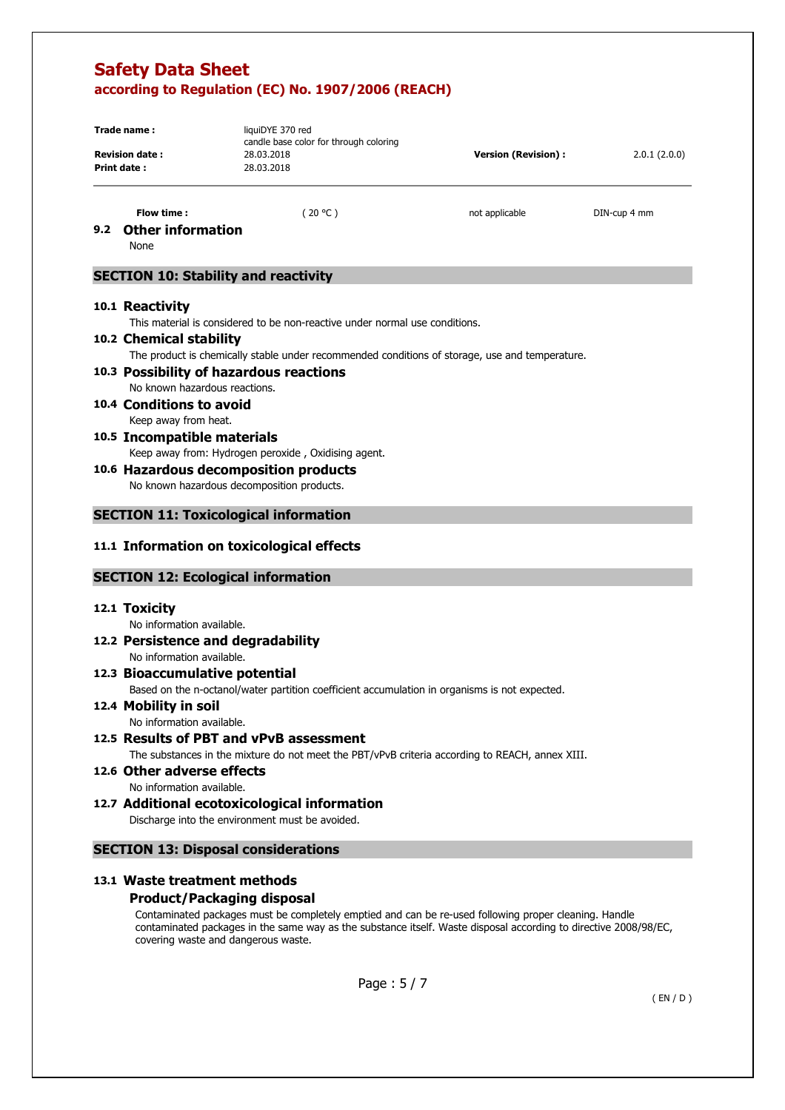|               | Trade name:<br><b>Revision date:</b><br>Print date:       | liquiDYE 370 red<br>candle base color for through coloring<br>28.03.2018<br>28.03.2018          | <b>Version (Revision):</b> | 2.0.1(2.0.0) |
|---------------|-----------------------------------------------------------|-------------------------------------------------------------------------------------------------|----------------------------|--------------|
|               |                                                           |                                                                                                 |                            |              |
|               | Flow time:                                                | (20 °C)                                                                                         | not applicable             | DIN-cup 4 mm |
| $9.2^{\circ}$ | <b>Other information</b>                                  |                                                                                                 |                            |              |
|               | None                                                      |                                                                                                 |                            |              |
|               | <b>SECTION 10: Stability and reactivity</b>               |                                                                                                 |                            |              |
|               | 10.1 Reactivity                                           |                                                                                                 |                            |              |
|               |                                                           | This material is considered to be non-reactive under normal use conditions.                     |                            |              |
|               | 10.2 Chemical stability                                   |                                                                                                 |                            |              |
|               |                                                           | The product is chemically stable under recommended conditions of storage, use and temperature.  |                            |              |
|               | 10.3 Possibility of hazardous reactions                   |                                                                                                 |                            |              |
|               | No known hazardous reactions.<br>10.4 Conditions to avoid |                                                                                                 |                            |              |
|               | Keep away from heat.                                      |                                                                                                 |                            |              |
|               | 10.5 Incompatible materials                               |                                                                                                 |                            |              |
|               |                                                           | Keep away from: Hydrogen peroxide, Oxidising agent.                                             |                            |              |
|               |                                                           | 10.6 Hazardous decomposition products                                                           |                            |              |
|               | No known hazardous decomposition products.                |                                                                                                 |                            |              |
|               |                                                           |                                                                                                 |                            |              |
|               | <b>SECTION 11: Toxicological information</b>              |                                                                                                 |                            |              |
|               |                                                           | 11.1 Information on toxicological effects                                                       |                            |              |
|               | <b>SECTION 12: Ecological information</b>                 |                                                                                                 |                            |              |
|               | 12.1 Toxicity                                             |                                                                                                 |                            |              |
|               | No information available.                                 |                                                                                                 |                            |              |
|               |                                                           |                                                                                                 |                            |              |
|               | 12.2 Persistence and degradability                        |                                                                                                 |                            |              |
|               | No information available.                                 |                                                                                                 |                            |              |
|               | 12.3 Bioaccumulative potential                            |                                                                                                 |                            |              |
|               |                                                           | Based on the n-octanol/water partition coefficient accumulation in organisms is not expected.   |                            |              |
|               | 12.4 Mobility in soil                                     |                                                                                                 |                            |              |
|               | No information available.                                 |                                                                                                 |                            |              |
|               |                                                           | 12.5 Results of PBT and vPvB assessment                                                         |                            |              |
|               |                                                           | The substances in the mixture do not meet the PBT/vPvB criteria according to REACH, annex XIII. |                            |              |
|               | 12.6 Other adverse effects                                |                                                                                                 |                            |              |
|               | No information available.                                 | 12.7 Additional ecotoxicological information                                                    |                            |              |

## **13.1 Waste treatment methods**

## **Product/Packaging disposal**

Contaminated packages must be completely emptied and can be re-used following proper cleaning. Handle contaminated packages in the same way as the substance itself. Waste disposal according to directive 2008/98/EC, covering waste and dangerous waste.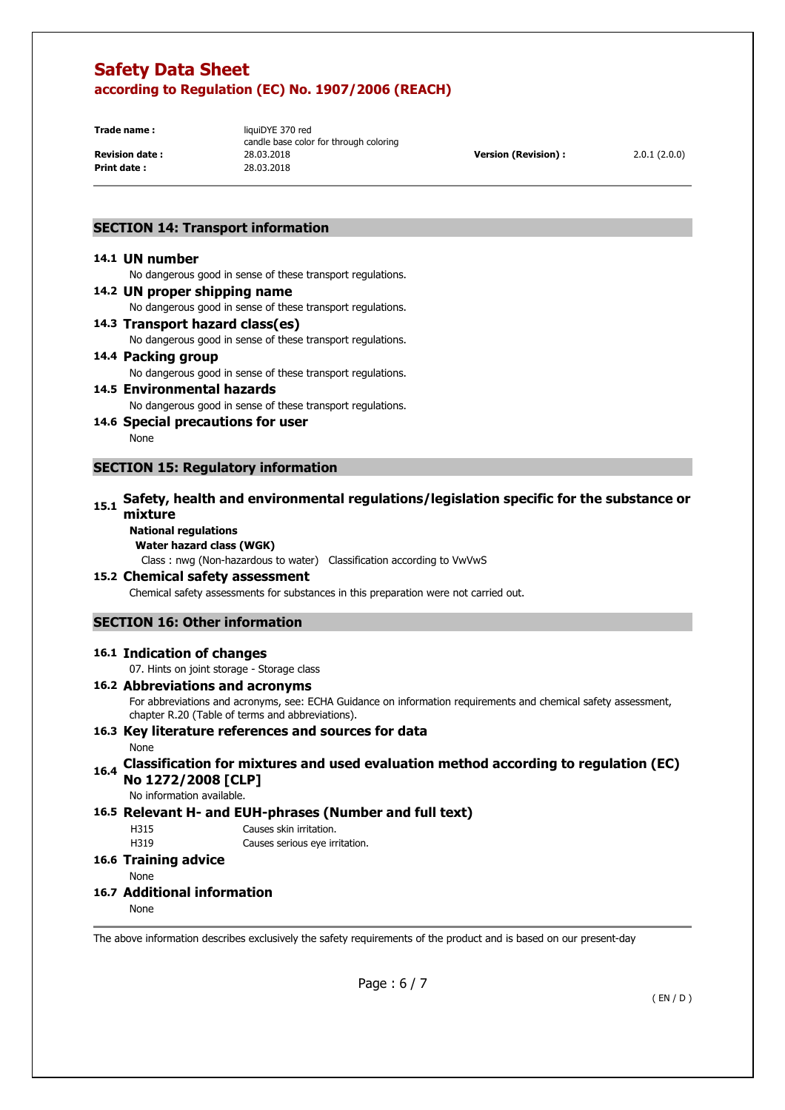**Print date :** 

**Trade name:** liquiDYE 370 red candle base color for through coloring **Revision date :** 28.03.2018 **Version (Revision) :** 2.0.1 (2.0.0)<br> **Print date :** 28.03.2018 **Print date :** 28.03.2018

## **SECTION 14: Transport information**

#### **14.1 UN number**

No dangerous good in sense of these transport regulations.

#### **14.2 UN proper shipping name**  No dangerous good in sense of these transport regulations. **14.3 Transport hazard class(es)**

No dangerous good in sense of these transport regulations.

### **14.4 Packing group**

No dangerous good in sense of these transport regulations.

#### **14.5 Environmental hazards**  No dangerous good in sense of these transport regulations.

**14.6 Special precautions for user** 

None

## **SECTION 15: Regulatory information**

### **15.1 Safety, health and environmental regulations/legislation specific for the substance or mixture**

## **National regulations**

**Water hazard class (WGK)** 

Class : nwg (Non-hazardous to water) Classification according to VwVwS

# **15.2 Chemical safety assessment**

Chemical safety assessments for substances in this preparation were not carried out.

## **SECTION 16: Other information**

#### **16.1 Indication of changes**

07. Hints on joint storage - Storage class

## **16.2 Abbreviations and acronyms**

For abbreviations and acronyms, see: ECHA Guidance on information requirements and chemical safety assessment, chapter R.20 (Table of terms and abbreviations).

#### **16.3 Key literature references and sources for data**  None

## **16.4 Classification for mixtures and used evaluation method according to regulation (EC) No 1272/2008 [CLP]**

No information available.

## **16.5 Relevant H- and EUH-phrases (Number and full text)**

H315 Causes skin irritation.

H319 Causes serious eye irritation.

#### **16.6 Training advice**

None

### **16.7 Additional information**

None

The above information describes exclusively the safety requirements of the product and is based on our present-day